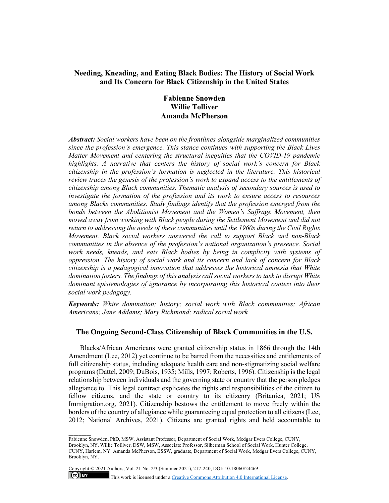## **Needing, Kneading, and Eating Black Bodies: The History of Social Work and Its Concern for Black Citizenship in the United States**

# **Fabienne Snowden Willie Tolliver Amanda McPherson**

*Abstract: Social workers have been on the frontlines alongside marginalized communities since the profession's emergence. This stance continues with supporting the Black Lives Matter Movement and centering the structural inequities that the COVID-19 pandemic highlights. A narrative that centers the history of social work's concern for Black citizenship in the profession's formation is neglected in the literature. This historical review traces the genesis of the profession's work to expand access to the entitlements of citizenship among Black communities. Thematic analysis of secondary sources is used to investigate the formation of the profession and its work to ensure access to resources among Blacks communities. Study findings identify that the profession emerged from the*  bonds between the Abolitionist Movement and the Women's Suffrage Movement, then *moved away from working with Black people during the Settlement Movement and did not return to addressing the needs of these communities until the 1960s during the Civil Rights Movement. Black social workers answered the call to support Black and non-Black communities in the absence of the profession's national organization's presence. Social work needs, kneads, and eats Black bodies by being in complicity with systems of oppression. The history of social work and its concern and lack of concern for Black citizenship is a pedagogical innovation that addresses the historical amnesia that White domination fosters. The findings of this analysis call social workers to task to disrupt White dominant epistemologies of ignorance by incorporating this historical context into their social work pedagogy.*

*Keywords: White domination; history; social work with Black communities; African Americans; Jane Addams; Mary Richmond; radical social work*

## **The Ongoing Second-Class Citizenship of Black Communities in the U.S.**

Blacks/African Americans were granted citizenship status in 1866 through the 14th Amendment (Lee, 2012) yet continue to be barred from the necessities and entitlements of full citizenship status, including adequate health care and non-stigmatizing social welfare programs (Dattel, 2009; DuBois, 1935; Mills, 1997; Roberts, 1996). Citizenship is the legal relationship between individuals and the governing state or country that the person pledges allegiance to. This legal contract explicates the rights and responsibilities of the citizen to fellow citizens, and the state or country to its citizenry (Britanica, 2021; US Immigration.org, 2021). Citizenship bestows the entitlement to move freely within the borders of the country of allegiance while guaranteeing equal protection to all citizens (Lee, 2012; National Archives, 2021). Citizens are granted rights and held accountable to

 $\overline{\phantom{a}}$ 

 $(cc)$  BY

Fabienne Snowden, PhD, MSW, Assistant Professor, Department of Social Work, Medgar Evers College, CUNY, Brooklyn, NY. Willie Tolliver, DSW, MSW, Associate Professor, Silberman School of Social Work, Hunter College, CUNY, Harlem, NY. Amanda McPherson, BSSW, graduate, Department of Social Work, Medgar Evers College, CUNY, Brooklyn, NY.

Copyright © 2021 Authors, Vol. 21 No. 2/3 (Summer 2021), 217-240, DOI: 10.18060/24469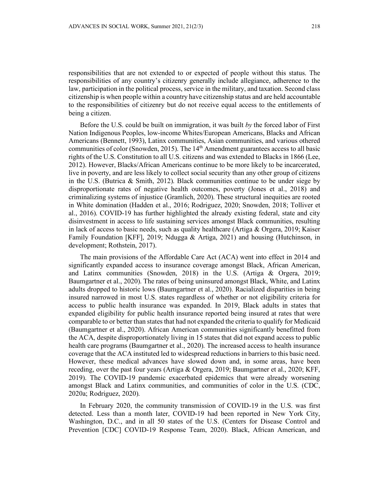responsibilities that are not extended to or expected of people without this status. The responsibilities of any country's citizenry generally include allegiance, adherence to the law, participation in the political process, service in the military, and taxation. Second class citizenship is when people within a country have citizenship status and are held accountable to the responsibilities of citizenry but do not receive equal access to the entitlements of being a citizen.

Before the U.S. could be built on immigration, it was built *by* the forced labor of First Nation Indigenous Peoples, low-income Whites/European Americans, Blacks and African Americans (Bennett, 1993), Latinx communities, Asian communities, and various othered communities of color (Snowden, 2015). The  $14<sup>th</sup>$  Amendment guarantees access to all basic rights of the U.S. Constitution to all U.S. citizens and was extended to Blacks in 1866 (Lee, 2012). However, Blacks/African Americans continue to be more likely to be incarcerated, live in poverty, and are less likely to collect social security than any other group of citizens in the U.S. (Butrica & Smith, 2012). Black communities continue to be under siege by disproportionate rates of negative health outcomes, poverty (Jones et al., 2018) and criminalizing systems of injustice (Gramlich, 2020). These structural inequities are rooted in White domination (Hadden et al., 2016; Rodriguez, 2020; Snowden, 2018; Tolliver et al., 2016). COVID-19 has further highlighted the already existing federal, state and city disinvestment in access to life sustaining services amongst Black communities, resulting in lack of access to basic needs, such as quality healthcare (Artiga & Orgera, 2019; Kaiser Family Foundation [KFF], 2019; Ndugga & Artiga, 2021) and housing (Hutchinson, in development; Rothstein, 2017).

The main provisions of the Affordable Care Act (ACA) went into effect in 2014 and significantly expanded access to insurance coverage amongst Black, African American, and Latinx communities (Snowden, 2018) in the U.S. (Artiga & Orgera, 2019; Baumgartner et al., 2020). The rates of being uninsured amongst Black, White, and Latinx adults dropped to historic lows (Baumgartner et al., 2020). Racialized disparities in being insured narrowed in most U.S. states regardless of whether or not eligibility criteria for access to public health insurance was expanded. In 2019, Black adults in states that expanded eligibility for public health insurance reported being insured at rates that were comparable to or better than states that had not expanded the criteria to qualify for Medicaid (Baumgartner et al., 2020). African American communities significantly benefitted from the ACA, despite disproportionately living in 15 states that did not expand access to public health care programs (Baumgartner et al., 2020). The increased access to health insurance coverage that the ACA instituted led to widespread reductions in barriers to this basic need. However, these medical advances have slowed down and, in some areas, have been receding, over the past four years (Artiga & Orgera, 2019; Baumgartner et al., 2020; KFF, 2019). The COVID-19 pandemic exacerbated epidemics that were already worsening amongst Black and Latinx communities, and communities of color in the U.S. (CDC, 2020a; Rodriguez, 2020).

In February 2020, the community transmission of COVID-19 in the U.S. was first detected. Less than a month later, COVID-19 had been reported in New York City, Washington, D.C., and in all 50 states of the U.S. (Centers for Disease Control and Prevention [CDC] COVID-19 Response Team, 2020). Black, African American, and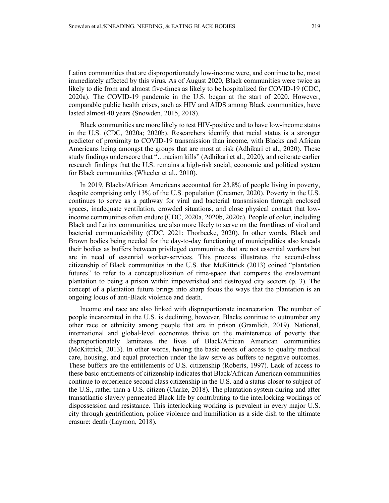Latinx communities that are disproportionately low-income were, and continue to be, most immediately affected by this virus. As of August 2020, Black communities were twice as likely to die from and almost five-times as likely to be hospitalized for COVID-19 (CDC, 2020a). The COVID-19 pandemic in the U.S. began at the start of 2020. However, comparable public health crises, such as HIV and AIDS among Black communities, have lasted almost 40 years (Snowden, 2015, 2018).

Black communities are more likely to test HIV-positive and to have low-income status in the U.S. (CDC, 2020a; 2020b). Researchers identify that racial status is a stronger predictor of proximity to COVID-19 transmission than income, with Blacks and African Americans being amongst the groups that are most at risk (Adhikari et al., 2020). These study findings underscore that "…racism kills" (Adhikari et al., 2020), and reiterate earlier research findings that the U.S. remains a high-risk social, economic and political system for Black communities (Wheeler et al., 2010).

In 2019, Blacks/African Americans accounted for 23.8% of people living in poverty, despite comprising only 13% of the U.S. population (Creamer, 2020). Poverty in the U.S. continues to serve as a pathway for viral and bacterial transmission through enclosed spaces, inadequate ventilation, crowded situations, and close physical contact that lowincome communities often endure (CDC, 2020a, 2020b, 2020c). People of color, including Black and Latinx communities, are also more likely to serve on the frontlines of viral and bacterial communicability (CDC, 2021; Thorbecke, 2020). In other words, Black and Brown bodies being needed for the day-to-day functioning of municipalities also kneads their bodies as buffers between privileged communities that are not essential workers but are in need of essential worker-services. This process illustrates the second-class citizenship of Black communities in the U.S. that McKittrick (2013) coined "plantation futures" to refer to a conceptualization of time-space that compares the enslavement plantation to being a prison within impoverished and destroyed city sectors (p. 3). The concept of a plantation future brings into sharp focus the ways that the plantation is an ongoing locus of anti-Black violence and death.

Income and race are also linked with disproportionate incarceration. The number of people incarcerated in the U.S. is declining, however, Blacks continue to outnumber any other race or ethnicity among people that are in prison (Gramlich, 2019). National, international and global-level economies thrive on the maintenance of poverty that disproportionately laminates the lives of Black/African American communities (McKittrick, 2013). In other words, having the basic needs of access to quality medical care, housing, and equal protection under the law serve as buffers to negative outcomes. These buffers are the entitlements of U.S. citizenship (Roberts, 1997). Lack of access to these basic entitlements of citizenship indicates that Black/African American communities continue to experience second class citizenship in the U.S. and a status closer to subject of the U.S., rather than a U.S. citizen (Clarke, 2018). The plantation system during and after transatlantic slavery permeated Black life by contributing to the interlocking workings of dispossession and resistance. This interlocking working is prevalent in every major U.S. city through gentrification, police violence and humiliation as a side dish to the ultimate erasure: death (Laymon, 2018).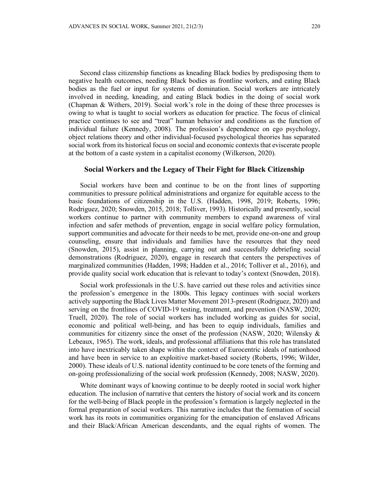Second class citizenship functions as kneading Black bodies by predisposing them to negative health outcomes, needing Black bodies as frontline workers, and eating Black bodies as the fuel or input for systems of domination. Social workers are intricately involved in needing, kneading, and eating Black bodies in the doing of social work (Chapman & Withers, 2019). Social work's role in the doing of these three processes is owing to what is taught to social workers as education for practice. The focus of clinical practice continues to see and "treat" human behavior and conditions as the function of individual failure (Kennedy, 2008). The profession's dependence on ego psychology, object relations theory and other individual-focused psychological theories has separated social work from its historical focus on social and economic contexts that eviscerate people at the bottom of a caste system in a capitalist economy (Wilkerson, 2020).

#### **Social Workers and the Legacy of Their Fight for Black Citizenship**

Social workers have been and continue to be on the front lines of supporting communities to pressure political administrations and organize for equitable access to the basic foundations of citizenship in the U.S. (Hadden, 1998, 2019; Roberts, 1996; Rodriguez, 2020; Snowden, 2015, 2018; Tolliver, 1993). Historically and presently, social workers continue to partner with community members to expand awareness of viral infection and safer methods of prevention, engage in social welfare policy formulation, support communities and advocate for their needs to be met, provide one-on-one and group counseling, ensure that individuals and families have the resources that they need (Snowden, 2015), assist in planning, carrying out and successfully debriefing social demonstrations (Rodriguez, 2020), engage in research that centers the perspectives of marginalized communities (Hadden, 1998; Hadden et al., 2016; Tolliver et al., 2016), and provide quality social work education that is relevant to today's context (Snowden, 2018).

Social work professionals in the U.S. have carried out these roles and activities since the profession's emergence in the 1800s. This legacy continues with social workers actively supporting the Black Lives Matter Movement 2013-present (Rodriguez, 2020) and serving on the frontlines of COVID-19 testing, treatment, and prevention (NASW, 2020; Truell, 2020). The role of social workers has included working as guides for social, economic and political well-being, and has been to equip individuals, families and communities for citizenry since the onset of the profession (NASW, 2020; Wilensky & Lebeaux, 1965). The work, ideals, and professional affiliations that this role has translated into have inextricably taken shape within the context of Eurocentric ideals of nationhood and have been in service to an exploitive market-based society (Roberts, 1996; Wilder, 2000). These ideals of U.S. national identity continued to be core tenets of the forming and on-going professionalizing of the social work profession (Kennedy, 2008; NASW, 2020).

White dominant ways of knowing continue to be deeply rooted in social work higher education. The inclusion of narrative that centers the history of social work and its concern for the well-being of Black people in the profession's formation is largely neglected in the formal preparation of social workers. This narrative includes that the formation of social work has its roots in communities organizing for the emancipation of enslaved Africans and their Black/African American descendants, and the equal rights of women. The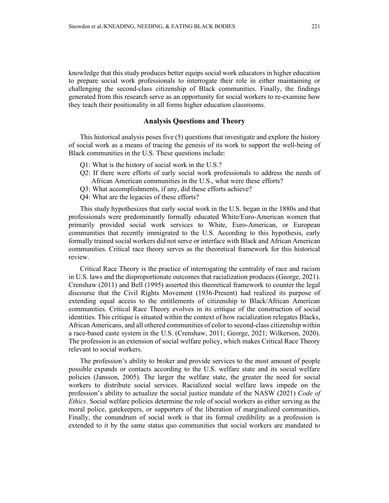knowledge that this study produces better equips social work educators in higher education to prepare social work professionals to interrogate their role in either maintaining or challenging the second-class citizenship of Black communities. Finally, the findings generated from this research serve as an opportunity for social workers to re-examine how they teach their positionality in all forms higher education classrooms.

### **Analysis Questions and Theory**

This historical analysis poses five (5) questions that investigate and explore the history of social work as a means of tracing the genesis of its work to support the well-being of Black communities in the U.S. These questions include:

- Q1: What is the history of social work in the U.S.?
- Q2: If there were efforts of early social work professionals to address the needs of African American communities in the U.S., what were these efforts?
- Q3: What accomplishments, if any, did these efforts achieve?
- Q4: What are the legacies of these efforts?

This study hypothesizes that early social work in the U.S. began in the 1880s and that professionals were predominantly formally educated White/Euro-American women that primarily provided social work services to White, Euro-American, or European communities that recently immigrated to the U.S. According to this hypothesis, early formally trained social workers did not serve or interface with Black and African American communities. Critical race theory serves as the theoretical framework for this historical review.

Critical Race Theory is the practice of interrogating the centrality of race and racism in U.S. laws and the disproportionate outcomes that racialization produces (George, 2021). Crenshaw (2011) and Bell (1995) asserted this theoretical framework to counter the legal discourse that the Civil Rights Movement (1936-Present) had realized its purpose of extending equal access to the entitlements of citizenship to Black/African American communities. Critical Race Theory evolves in its critique of the construction of social identities. This critique is situated within the context of how racialization relegates Blacks, African Americans, and all othered communities of color to second-class citizenship within a race-based caste system in the U.S. (Crenshaw, 2011; George, 2021; Wilkerson, 2020). The profession is an extension of social welfare policy, which makes Critical Race Theory relevant to social workers.

The profession's ability to broker and provide services to the most amount of people possible expands or contacts according to the U.S. welfare state and its social welfare policies (Jansson, 2005). The larger the welfare state, the greater the need for social workers to distribute social services. Racialized social welfare laws impede on the profession's ability to actualize the social justice mandate of the NASW (2021) *Code of Ethics*. Social welfare policies determine the role of social workers as either serving as the moral police, gatekeepers, or supporters of the liberation of marginalized communities. Finally, the conundrum of social work is that its formal credibility as a profession is extended to it by the same status quo communities that social workers are mandated to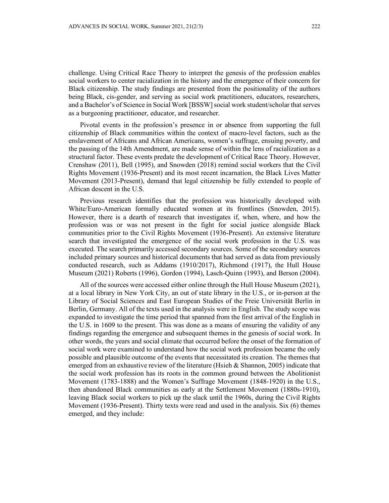challenge. Using Critical Race Theory to interpret the genesis of the profession enables social workers to center racialization in the history and the emergence of their concern for Black citizenship. The study findings are presented from the positionality of the authors being Black, cis-gender, and serving as social work practitioners, educators, researchers, and a Bachelor's of Science in Social Work [BSSW] social work student/scholar that serves as a burgeoning practitioner, educator, and researcher.

Pivotal events in the profession's presence in or absence from supporting the full citizenship of Black communities within the context of macro-level factors, such as the enslavement of Africans and African Americans, women's suffrage, ensuing poverty, and the passing of the 14th Amendment, are made sense of within the lens of racialization as a structural factor. These events predate the development of Critical Race Theory. However, Crenshaw (2011), Bell (1995), and Snowden (2018) remind social workers that the Civil Rights Movement (1936-Present) and its most recent incarnation, the Black Lives Matter Movement (2013-Present), demand that legal citizenship be fully extended to people of African descent in the U.S.

Previous research identifies that the profession was historically developed with White/Euro-American formally educated women at its frontlines (Snowden, 2015). However, there is a dearth of research that investigates if, when, where, and how the profession was or was not present in the fight for social justice alongside Black communities prior to the Civil Rights Movement (1936-Present). An extensive literature search that investigated the emergence of the social work profession in the U.S. was executed. The search primarily accessed secondary sources. Some of the secondary sources included primary sources and historical documents that had served as data from previously conducted research, such as Addams (1910/2017), Richmond (1917), the Hull House Museum (2021) Roberts (1996), Gordon (1994), Lasch-Quinn (1993), and Berson (2004).

All of the sources were accessed either online through the Hull House Museum (2021), at a local library in New York City, an out of state library in the U.S., or in-person at the Library of Social Sciences and East European Studies of the Freie Universität Berlin in Berlin, Germany. All of the texts used in the analysis were in English. The study scope was expanded to investigate the time period that spanned from the first arrival of the English in the U.S. in 1609 to the present. This was done as a means of ensuring the validity of any findings regarding the emergence and subsequent themes in the genesis of social work. In other words, the years and social climate that occurred before the onset of the formation of social work were examined to understand how the social work profession became the only possible and plausible outcome of the events that necessitated its creation. The themes that emerged from an exhaustive review of the literature (Hsieh  $& Shannon, 2005$ ) indicate that the social work profession has its roots in the common ground between the Abolitionist Movement (1783-1888) and the Women's Suffrage Movement (1848-1920) in the U.S., then abandoned Black communities as early at the Settlement Movement (1880s-1910), leaving Black social workers to pick up the slack until the 1960s, during the Civil Rights Movement (1936-Present). Thirty texts were read and used in the analysis. Six (6) themes emerged, and they include: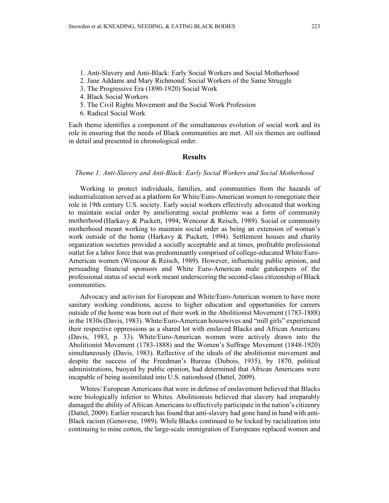- 1. Anti-Slavery and Anti-Black: Early Social Workers and Social Motherhood
- 2. Jane Addams and Mary Richmond: Social Workers of the Same Struggle
- 3. The Progressive Era (1890-1920) Social Work
- 4. Black Social Workers
- 5. The Civil Rights Movement and the Social Work Profession
- 6. Radical Social Work

Each theme identifies a component of the simultaneous evolution of social work and its role in ensuring that the needs of Black communities are met. All six themes are outlined in detail and presented in chronological order.

### **Results**

#### *Theme 1: Anti-Slavery and Anti-Black: Early Social Workers and Social Motherhood*

Working to protect individuals, families, and communities from the hazards of industrialization served as a platform for White/Euro-American women to renegotiate their role in 19th century U.S. society. Early social workers effectively advocated that working to maintain social order by ameliorating social problems was a form of community motherhood (Harkavy & Puckett, 1994; Wencour & Reisch, 1989). Social or community motherhood meant working to maintain social order as being an extension of woman's work outside of the home (Harkavy & Puckett, 1994). Settlement houses and charity organization societies provided a socially acceptable and at times, profitable professional outlet for a labor force that was predominantly comprised of college-educated White/Euro-American women (Wencour & Reisch, 1989). However, influencing public opinion, and persuading financial sponsors and White Euro-American male gatekeepers of the professional status of social work meant underscoring the second-class citizenship of Black communities.

Advocacy and activism for European and White/Euro-American women to have more sanitary working conditions, access to higher education and opportunities for careers outside of the home was born out of their work in the Abolitionist Movement (1783-1888) in the 1830s (Davis, 1983). White/Euro-American housewives and "mill girls" experienced their respective oppressions as a shared lot with enslaved Blacks and African Americans (Davis, 1983, p. 33). White/Euro-American women were actively drawn into the Abolitionist Movement (1783-1888) and the Women's Suffrage Movement (1848-1920) simultaneously (Davis, 1983). Reflective of the ideals of the abolitionist movement and despite the success of the Freedman's Bureau (Dubois, 1935), by 1870, political administrations, buoyed by public opinion, had determined that African Americans were incapable of being assimilated into U.S. nationhood (Dattel, 2009).

Whites/ European Americans that were in defense of enslavement believed that Blacks were biologically inferior to Whites. Abolitionists believed that slavery had irreparably damaged the ability of African Americans to effectively participate in the nation's citizenry (Dattel, 2009). Earlier research has found that anti-slavery had gone hand in hand with anti-Black racism (Genovese, 1989). While Blacks continued to be locked by racialization into continuing to mine cotton, the large-scale immigration of Europeans replaced women and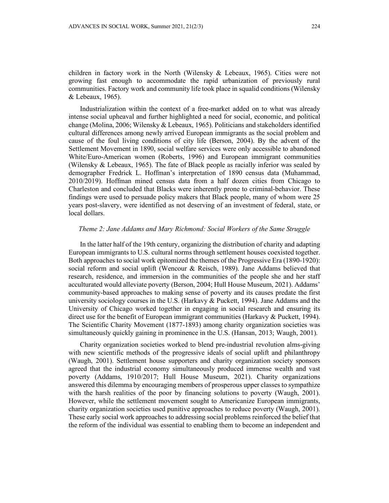children in factory work in the North (Wilensky & Lebeaux, 1965). Cities were not growing fast enough to accommodate the rapid urbanization of previously rural communities. Factory work and community life took place in squalid conditions (Wilensky & Lebeaux, 1965).

Industrialization within the context of a free-market added on to what was already intense social upheaval and further highlighted a need for social, economic, and political change (Molina, 2006; Wilensky & Lebeaux, 1965). Politicians and stakeholders identified cultural differences among newly arrived European immigrants as the social problem and cause of the foul living conditions of city life (Berson, 2004). By the advent of the Settlement Movement in 1890, social welfare services were only accessible to abandoned White/Euro-American women (Roberts, 1996) and European immigrant communities (Wilensky & Lebeaux, 1965). The fate of Black people as racially inferior was sealed by demographer Fredrick L. Hoffman's interpretation of 1890 census data (Muhammad, 2010/2019). Hoffman mined census data from a half dozen cities from Chicago to Charleston and concluded that Blacks were inherently prone to criminal-behavior. These findings were used to persuade policy makers that Black people, many of whom were 25 years post-slavery, were identified as not deserving of an investment of federal, state, or local dollars.

#### *Theme 2: Jane Addams and Mary Richmond: Social Workers of the Same Struggle*

In the latter half of the 19th century, organizing the distribution of charity and adapting European immigrants to U.S. cultural norms through settlement houses coexisted together. Both approaches to social work epitomized the themes of the Progressive Era (1890-1920): social reform and social uplift (Wencour & Reisch, 1989). Jane Addams believed that research, residence, and immersion in the communities of the people she and her staff acculturated would alleviate poverty (Berson, 2004; Hull House Museum, 2021). Addams' community-based approaches to making sense of poverty and its causes predate the first university sociology courses in the U.S. (Harkavy  $&$  Puckett, 1994). Jane Addams and the University of Chicago worked together in engaging in social research and ensuring its direct use for the benefit of European immigrant communities (Harkavy & Puckett, 1994). The Scientific Charity Movement (1877-1893) among charity organization societies was simultaneously quickly gaining in prominence in the U.S. (Hansan, 2013; Waugh, 2001).

Charity organization societies worked to blend pre-industrial revolution alms-giving with new scientific methods of the progressive ideals of social uplift and philanthropy (Waugh, 2001). Settlement house supporters and charity organization society sponsors agreed that the industrial economy simultaneously produced immense wealth and vast poverty (Addams, 1910/2017; Hull House Museum, 2021). Charity organizations answered this dilemma by encouraging members of prosperous upper classes to sympathize with the harsh realities of the poor by financing solutions to poverty (Waugh, 2001). However, while the settlement movement sought to Americanize European immigrants, charity organization societies used punitive approaches to reduce poverty (Waugh, 2001). These early social work approaches to addressing social problems reinforced the belief that the reform of the individual was essential to enabling them to become an independent and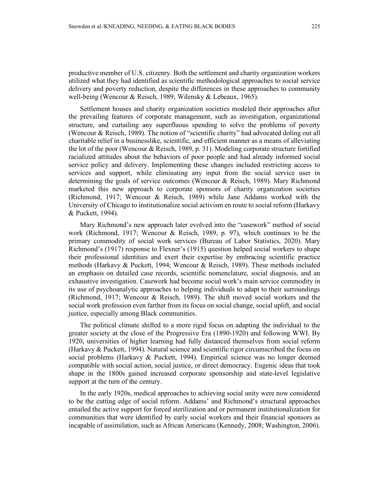productive member of U.S. citizenry. Both the settlement and charity organization workers utilized what they had identified as scientific methodological approaches to social service delivery and poverty reduction, despite the differences in these approaches to community well-being (Wencour & Reisch, 1989; Wilensky & Lebeaux, 1965).

Settlement houses and charity organization societies modeled their approaches after the prevailing features of corporate management, such as investigation, organizational structure, and curtailing any superfluous spending to solve the problems of poverty (Wencour & Reisch, 1989). The notion of "scientific charity" had advocated doling out all charitable relief in a businesslike, scientific, and efficient manner as a means of alleviating the lot of the poor (Wencour & Reisch, 1989, p. 31). Modeling corporate structure fortified racialized attitudes about the behaviors of poor people and had already informed social service policy and delivery. Implementing these changes included restricting access to services and support, while eliminating any input from the social service user in determining the goals of service outcomes (Wencour & Reisch, 1989). Mary Richmond marketed this new approach to corporate sponsors of charity organization societies (Richmond, 1917; Wencour & Reisch, 1989) while Jane Addams worked with the University of Chicago to institutionalize social activism en route to social reform (Harkavy & Puckett, 1994).

Mary Richmond's new approach later evolved into the "casework" method of social work (Richmond, 1917; Wencour & Reisch, 1989, p. 97), which continues to be the primary commodity of social work services (Bureau of Labor Statistics, 2020). Mary Richmond's (1917) response to Flexner's (1915) question helped social workers to shape their professional identities and exert their expertise by embracing scientific practice methods (Harkavy & Puckett, 1994; Wencour & Reisch, 1989). These methods included an emphasis on detailed case records, scientific nomenclature, social diagnosis, and an exhaustive investigation. Casework had become social work's main service commodity in its use of psychoanalytic approaches to helping individuals to adapt to their surroundings (Richmond, 1917; Wencour & Reisch, 1989). The shift moved social workers and the social work profession even farther from its focus on social change, social uplift, and social justice, especially among Black communities.

The political climate shifted to a more rigid focus on adapting the individual to the greater society at the close of the Progressive Era (1890-1920) and following WWI. By 1920, universities of higher learning had fully distanced themselves from social reform (Harkavy & Puckett, 1994). Natural science and scientific rigor circumscribed the focus on social problems (Harkavy & Puckett, 1994). Empirical science was no longer deemed compatible with social action, social justice, or direct democracy. Eugenic ideas that took shape in the 1800s gained increased corporate sponsorship and state-level legislative support at the turn of the century.

In the early 1920s, medical approaches to achieving social unity were now considered to be the cutting edge of social reform. Addams' and Richmond's structural approaches entailed the active support for forced sterilization and or permanent institutionalization for communities that were identified by early social workers and their financial sponsors as incapable of assimilation, such as African Americans (Kennedy, 2008; Washington, 2006).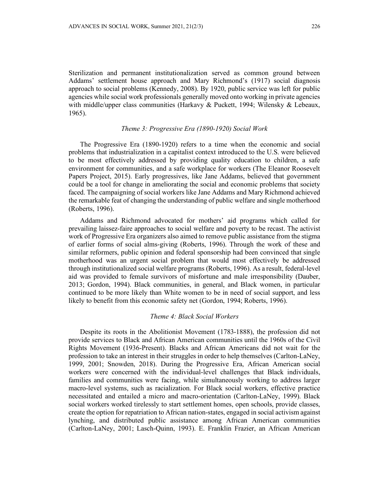Sterilization and permanent institutionalization served as common ground between Addams' settlement house approach and Mary Richmond's (1917) social diagnosis approach to social problems (Kennedy, 2008). By 1920, public service was left for public agencies while social work professionals generally moved onto working in private agencies with middle/upper class communities (Harkavy & Puckett, 1994; Wilensky & Lebeaux, 1965).

#### *Theme 3: Progressive Era (1890-1920) Social Work*

The Progressive Era (1890-1920) refers to a time when the economic and social problems that industrialization in a capitalist context introduced to the U.S. were believed to be most effectively addressed by providing quality education to children, a safe environment for communities, and a safe workplace for workers (The Eleanor Roosevelt Papers Project, 2015). Early progressives, like Jane Addams, believed that government could be a tool for change in ameliorating the social and economic problems that society faced. The campaigning of social workers like Jane Addams and Mary Richmond achieved the remarkable feat of changing the understanding of public welfare and single motherhood (Roberts, 1996).

Addams and Richmond advocated for mothers' aid programs which called for prevailing laissez-faire approaches to social welfare and poverty to be recast. The activist work of Progressive Era organizers also aimed to remove public assistance from the stigma of earlier forms of social alms-giving (Roberts, 1996). Through the work of these and similar reformers, public opinion and federal sponsorship had been convinced that single motherhood was an urgent social problem that would most effectively be addressed through institutionalized social welfare programs (Roberts, 1996). As a result, federal-level aid was provided to female survivors of misfortune and male irresponsibility (Dauber, 2013; Gordon, 1994). Black communities, in general, and Black women, in particular continued to be more likely than White women to be in need of social support, and less likely to benefit from this economic safety net (Gordon, 1994; Roberts, 1996).

#### *Theme 4: Black Social Workers*

Despite its roots in the Abolitionist Movement (1783-1888), the profession did not provide services to Black and African American communities until the 1960s of the Civil Rights Movement (1936-Present). Blacks and African Americans did not wait for the profession to take an interest in their struggles in order to help themselves (Carlton-LaNey, 1999, 2001; Snowden, 2018). During the Progressive Era, African American social workers were concerned with the individual-level challenges that Black individuals, families and communities were facing, while simultaneously working to address larger macro-level systems, such as racialization. For Black social workers, effective practice necessitated and entailed a micro and macro-orientation (Carlton-LaNey, 1999). Black social workers worked tirelessly to start settlement homes, open schools, provide classes, create the option for repatriation to African nation-states, engaged in social activism against lynching, and distributed public assistance among African American communities (Carlton-LaNey, 2001; Lasch-Quinn, 1993). E. Franklin Frazier, an African American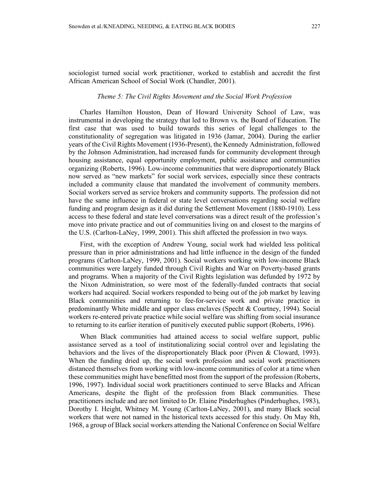sociologist turned social work practitioner, worked to establish and accredit the first African American School of Social Work (Chandler, 2001).

#### *Theme 5: The Civil Rights Movement and the Social Work Profession*

Charles Hamilton Houston, Dean of Howard University School of Law, was instrumental in developing the strategy that led to Brown vs. the Board of Education. The first case that was used to build towards this series of legal challenges to the constitutionality of segregation was litigated in 1936 (Jamar, 2004). During the earlier years of the Civil Rights Movement (1936-Present), the Kennedy Administration, followed by the Johnson Administration, had increased funds for community development through housing assistance, equal opportunity employment, public assistance and communities organizing (Roberts, 1996). Low-income communities that were disproportionately Black now served as "new markets" for social work services, especially since these contracts included a community clause that mandated the involvement of community members. Social workers served as service brokers and community supports. The profession did not have the same influence in federal or state level conversations regarding social welfare funding and program design as it did during the Settlement Movement (1880-1910). Less access to these federal and state level conversations was a direct result of the profession's move into private practice and out of communities living on and closest to the margins of the U.S. (Carlton-LaNey, 1999, 2001). This shift affected the profession in two ways.

First, with the exception of Andrew Young, social work had wielded less political pressure than in prior administrations and had little influence in the design of the funded programs (Carlton-LaNey, 1999, 2001). Social workers working with low-income Black communities were largely funded through Civil Rights and War on Poverty-based grants and programs. When a majority of the Civil Rights legislation was defunded by 1972 by the Nixon Administration, so were most of the federally-funded contracts that social workers had acquired. Social workers responded to being out of the job market by leaving Black communities and returning to fee-for-service work and private practice in predominantly White middle and upper class enclaves (Specht & Courtney, 1994). Social workers re-entered private practice while social welfare was shifting from social insurance to returning to its earlier iteration of punitively executed public support (Roberts, 1996).

When Black communities had attained access to social welfare support, public assistance served as a tool of institutionalizing social control over and legislating the behaviors and the lives of the disproportionately Black poor (Piven & Cloward, 1993). When the funding dried up, the social work profession and social work practitioners distanced themselves from working with low-income communities of color at a time when these communities might have benefitted most from the support of the profession (Roberts, 1996, 1997). Individual social work practitioners continued to serve Blacks and African Americans, despite the flight of the profession from Black communities. These practitioners include and are not limited to Dr. Elaine Pinderhughes (Pinderhughes, 1983), Dorothy I. Height, Whitney M. Young (Carlton-LaNey, 2001), and many Black social workers that were not named in the historical texts accessed for this study. On May 8th, 1968, a group of Black social workers attending the National Conference on Social Welfare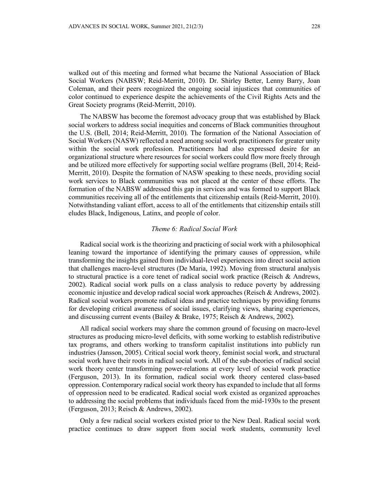walked out of this meeting and formed what became the National Association of Black Social Workers (NABSW; Reid-Merritt, 2010). Dr. Shirley Better, Lenny Barry, Joan Coleman, and their peers recognized the ongoing social injustices that communities of color continued to experience despite the achievements of the Civil Rights Acts and the Great Society programs (Reid-Merritt, 2010).

The NABSW has become the foremost advocacy group that was established by Black social workers to address social inequities and concerns of Black communities throughout the U.S. (Bell, 2014; Reid-Merritt, 2010). The formation of the National Association of Social Workers (NASW) reflected a need among social work practitioners for greater unity within the social work profession. Practitioners had also expressed desire for an organizational structure where resources for social workers could flow more freely through and be utilized more effectively for supporting social welfare programs (Bell, 2014; Reid-Merritt, 2010). Despite the formation of NASW speaking to these needs, providing social work services to Black communities was not placed at the center of these efforts. The formation of the NABSW addressed this gap in services and was formed to support Black communities receiving all of the entitlements that citizenship entails (Reid-Merritt, 2010). Notwithstanding valiant effort, access to all of the entitlements that citizenship entails still eludes Black, Indigenous, Latinx, and people of color.

#### *Theme 6: Radical Social Work*

Radical social work is the theorizing and practicing of social work with a philosophical leaning toward the importance of identifying the primary causes of oppression, while transforming the insights gained from individual-level experiences into direct social action that challenges macro-level structures (De Maria, 1992). Moving from structural analysis to structural practice is a core tenet of radical social work practice (Reisch & Andrews, 2002). Radical social work pulls on a class analysis to reduce poverty by addressing economic injustice and develop radical social work approaches (Reisch & Andrews, 2002). Radical social workers promote radical ideas and practice techniques by providing forums for developing critical awareness of social issues, clarifying views, sharing experiences, and discussing current events (Bailey & Brake, 1975; Reisch & Andrews, 2002).

All radical social workers may share the common ground of focusing on macro-level structures as producing micro-level deficits, with some working to establish redistributive tax programs, and others working to transform capitalist institutions into publicly run industries (Jansson, 2005). Critical social work theory, feminist social work, and structural social work have their roots in radical social work. All of the sub-theories of radical social work theory center transforming power-relations at every level of social work practice (Ferguson, 2013). In its formation, radical social work theory centered class-based oppression. Contemporary radical social work theory has expanded to include that all forms of oppression need to be eradicated. Radical social work existed as organized approaches to addressing the social problems that individuals faced from the mid-1930s to the present (Ferguson, 2013; Reisch & Andrews, 2002).

Only a few radical social workers existed prior to the New Deal. Radical social work practice continues to draw support from social work students, community level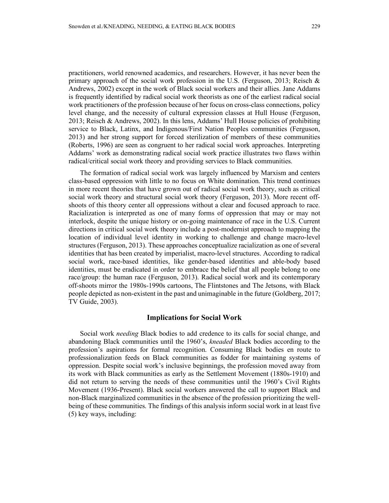practitioners, world renowned academics, and researchers. However, it has never been the primary approach of the social work profession in the U.S. (Ferguson, 2013; Reisch & Andrews, 2002) except in the work of Black social workers and their allies. Jane Addams is frequently identified by radical social work theorists as one of the earliest radical social work practitioners of the profession because of her focus on cross-class connections, policy level change, and the necessity of cultural expression classes at Hull House (Ferguson, 2013; Reisch & Andrews, 2002). In this lens, Addams' Hull House policies of prohibiting service to Black, Latinx, and Indigenous/First Nation Peoples communities (Ferguson, 2013) and her strong support for forced sterilization of members of these communities (Roberts, 1996) are seen as congruent to her radical social work approaches. Interpreting Addams' work as demonstrating radical social work practice illustrates two flaws within radical/critical social work theory and providing services to Black communities.

The formation of radical social work was largely influenced by Marxism and centers class-based oppression with little to no focus on White domination. This trend continues in more recent theories that have grown out of radical social work theory, such as critical social work theory and structural social work theory (Ferguson, 2013). More recent offshoots of this theory center all oppressions without a clear and focused approach to race. Racialization is interpreted as one of many forms of oppression that may or may not interlock, despite the unique history or on-going maintenance of race in the U.S. Current directions in critical social work theory include a post-modernist approach to mapping the location of individual level identity in working to challenge and change macro-level structures (Ferguson, 2013). These approaches conceptualize racialization as one of several identities that has been created by imperialist, macro-level structures. According to radical social work, race-based identities, like gender-based identities and able-body based identities, must be eradicated in order to embrace the belief that all people belong to one race/group: the human race (Ferguson, 2013). Radical social work and its contemporary off-shoots mirror the 1980s-1990s cartoons, The Flintstones and The Jetsons, with Black people depicted as non-existent in the past and unimaginable in the future (Goldberg, 2017; TV Guide, 2003).

#### **Implications for Social Work**

Social work *needing* Black bodies to add credence to its calls for social change, and abandoning Black communities until the 1960's, *kneaded* Black bodies according to the profession's aspirations for formal recognition. Consuming Black bodies en route to professionalization feeds on Black communities as fodder for maintaining systems of oppression. Despite social work's inclusive beginnings, the profession moved away from its work with Black communities as early as the Settlement Movement (1880s-1910) and did not return to serving the needs of these communities until the 1960's Civil Rights Movement (1936-Present). Black social workers answered the call to support Black and non-Black marginalized communities in the absence of the profession prioritizing the wellbeing of these communities. The findings of this analysis inform social work in at least five (5) key ways, including: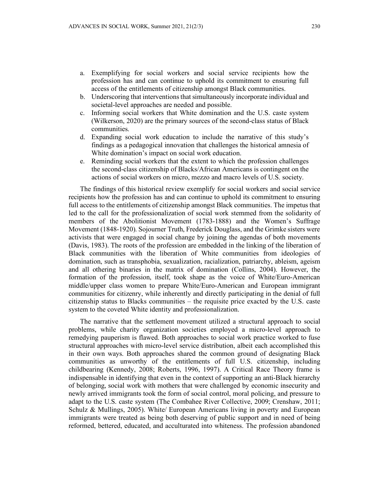- a. Exemplifying for social workers and social service recipients how the profession has and can continue to uphold its commitment to ensuring full access of the entitlements of citizenship amongst Black communities.
- b. Underscoring that interventions that simultaneously incorporate individual and societal-level approaches are needed and possible.
- c. Informing social workers that White domination and the U.S. caste system (Wilkerson, 2020) are the primary sources of the second-class status of Black communities.
- d. Expanding social work education to include the narrative of this study's findings as a pedagogical innovation that challenges the historical amnesia of White domination's impact on social work education.
- e. Reminding social workers that the extent to which the profession challenges the second-class citizenship of Blacks/African Americans is contingent on the actions of social workers on micro, mezzo and macro levels of U.S. society.

The findings of this historical review exemplify for social workers and social service recipients how the profession has and can continue to uphold its commitment to ensuring full access to the entitlements of citizenship amongst Black communities. The impetus that led to the call for the professionalization of social work stemmed from the solidarity of members of the Abolitionist Movement (1783-1888) and the Women's Suffrage Movement (1848-1920). Sojourner Truth, Frederick Douglass, and the Grimke sisters were activists that were engaged in social change by joining the agendas of both movements (Davis, 1983). The roots of the profession are embedded in the linking of the liberation of Black communities with the liberation of White communities from ideologies of domination, such as transphobia, sexualization, racialization, patriarchy, ableism, ageism and all othering binaries in the matrix of domination (Collins, 2004). However, the formation of the profession, itself, took shape as the voice of White/Euro-American middle/upper class women to prepare White/Euro-American and European immigrant communities for citizenry, while inherently and directly participating in the denial of full citizenship status to Blacks communities – the requisite price exacted by the U.S. caste system to the coveted White identity and professionalization.

The narrative that the settlement movement utilized a structural approach to social problems, while charity organization societies employed a micro-level approach to remedying pauperism is flawed. Both approaches to social work practice worked to fuse structural approaches with micro-level service distribution, albeit each accomplished this in their own ways. Both approaches shared the common ground of designating Black communities as unworthy of the entitlements of full U.S. citizenship, including childbearing (Kennedy, 2008; Roberts, 1996, 1997). A Critical Race Theory frame is indispensable in identifying that even in the context of supporting an anti-Black hierarchy of belonging, social work with mothers that were challenged by economic insecurity and newly arrived immigrants took the form of social control, moral policing, and pressure to adapt to the U.S. caste system (The Combahee River Collective, 2009; Crenshaw, 2011; Schulz & Mullings, 2005). White/ European Americans living in poverty and European immigrants were treated as being both deserving of public support and in need of being reformed, bettered, educated, and acculturated into whiteness. The profession abandoned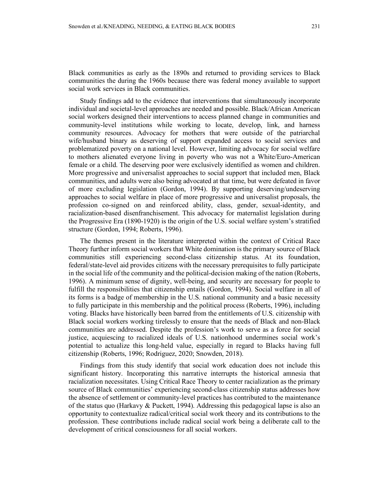Black communities as early as the 1890s and returned to providing services to Black communities the during the 1960s because there was federal money available to support social work services in Black communities.

Study findings add to the evidence that interventions that simultaneously incorporate individual and societal-level approaches are needed and possible. Black/African American social workers designed their interventions to access planned change in communities and community-level institutions while working to locate, develop, link, and harness community resources. Advocacy for mothers that were outside of the patriarchal wife/husband binary as deserving of support expanded access to social services and problematized poverty on a national level. However, limiting advocacy for social welfare to mothers alienated everyone living in poverty who was not a White/Euro-American female or a child. The deserving poor were exclusively identified as women and children. More progressive and universalist approaches to social support that included men, Black communities, and adults were also being advocated at that time, but were defeated in favor of more excluding legislation (Gordon, 1994). By supporting deserving/undeserving approaches to social welfare in place of more progressive and universalist proposals, the profession co-signed on and reinforced ability, class, gender, sexual-identity, and racialization-based disenfranchisement. This advocacy for maternalist legislation during the Progressive Era (1890-1920) is the origin of the U.S. social welfare system's stratified structure (Gordon, 1994; Roberts, 1996).

The themes present in the literature interpreted within the context of Critical Race Theory further inform social workers that White domination is the primary source of Black communities still experiencing second-class citizenship status. At its foundation, federal/state-level aid provides citizens with the necessary prerequisites to fully participate in the social life of the community and the political-decision making of the nation (Roberts, 1996). A minimum sense of dignity, well-being, and security are necessary for people to fulfill the responsibilities that citizenship entails (Gordon, 1994). Social welfare in all of its forms is a badge of membership in the U.S. national community and a basic necessity to fully participate in this membership and the political process (Roberts, 1996), including voting. Blacks have historically been barred from the entitlements of U.S. citizenship with Black social workers working tirelessly to ensure that the needs of Black and non-Black communities are addressed. Despite the profession's work to serve as a force for social justice, acquiescing to racialized ideals of U.S. nationhood undermines social work's potential to actualize this long-held value, especially in regard to Blacks having full citizenship (Roberts, 1996; Rodriguez, 2020; Snowden, 2018).

Findings from this study identify that social work education does not include this significant history. Incorporating this narrative interrupts the historical amnesia that racialization necessitates. Using Critical Race Theory to center racialization as the primary source of Black communities' experiencing second-class citizenship status addresses how the absence of settlement or community-level practices has contributed to the maintenance of the status quo (Harkavy & Puckett, 1994). Addressing this pedagogical lapse is also an opportunity to contextualize radical/critical social work theory and its contributions to the profession. These contributions include radical social work being a deliberate call to the development of critical consciousness for all social workers.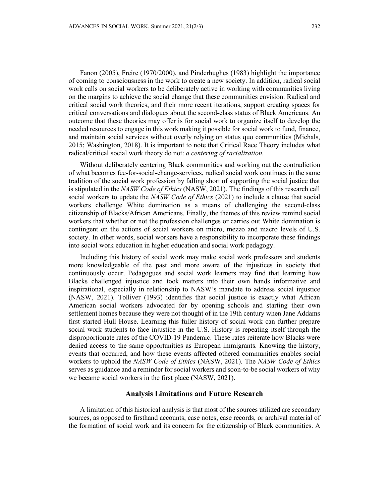Fanon (2005), Freire (1970/2000), and Pinderhughes (1983) highlight the importance of coming to consciousness in the work to create a new society. In addition, radical social work calls on social workers to be deliberately active in working with communities living on the margins to achieve the social change that these communities envision. Radical and critical social work theories, and their more recent iterations, support creating spaces for critical conversations and dialogues about the second-class status of Black Americans. An outcome that these theories may offer is for social work to organize itself to develop the needed resources to engage in this work making it possible for social work to fund, finance, and maintain social services without overly relying on status quo communities (Michals, 2015; Washington, 2018). It is important to note that Critical Race Theory includes what radical/critical social work theory do not: *a centering of racialization*.

Without deliberately centering Black communities and working out the contradiction of what becomes fee-for-social-change-services, radical social work continues in the same tradition of the social work profession by falling short of supporting the social justice that is stipulated in the *NASW Code of Ethics* (NASW, 2021). The findings of this research call social workers to update the *NASW Code of Ethics* (2021) to include a clause that social workers challenge White domination as a means of challenging the second-class citizenship of Blacks/African Americans. Finally, the themes of this review remind social workers that whether or not the profession challenges or carries out White domination is contingent on the actions of social workers on micro, mezzo and macro levels of U.S. society. In other words, social workers have a responsibility to incorporate these findings into social work education in higher education and social work pedagogy.

Including this history of social work may make social work professors and students more knowledgeable of the past and more aware of the injustices in society that continuously occur. Pedagogues and social work learners may find that learning how Blacks challenged injustice and took matters into their own hands informative and inspirational, especially in relationship to NASW's mandate to address social injustice (NASW, 2021). Tolliver (1993) identifies that social justice is exactly what African American social workers advocated for by opening schools and starting their own settlement homes because they were not thought of in the 19th century when Jane Addams first started Hull House. Learning this fuller history of social work can further prepare social work students to face injustice in the U.S. History is repeating itself through the disproportionate rates of the COVID-19 Pandemic. These rates reiterate how Blacks were denied access to the same opportunities as European immigrants. Knowing the history, events that occurred, and how these events affected othered communities enables social workers to uphold the *NASW Code of Ethics* (NASW, 2021). The *NASW Code of Ethics* serves as guidance and a reminder for social workers and soon-to-be social workers of why we became social workers in the first place (NASW, 2021).

#### **Analysis Limitations and Future Research**

A limitation of this historical analysis is that most of the sources utilized are secondary sources, as opposed to firsthand accounts, case notes, case records, or archival material of the formation of social work and its concern for the citizenship of Black communities. A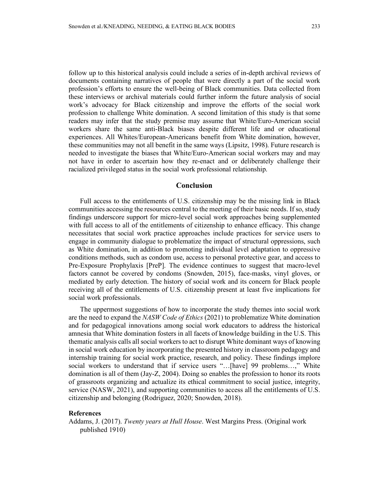follow up to this historical analysis could include a series of in-depth archival reviews of documents containing narratives of people that were directly a part of the social work profession's efforts to ensure the well-being of Black communities. Data collected from these interviews or archival materials could further inform the future analysis of social work's advocacy for Black citizenship and improve the efforts of the social work profession to challenge White domination. A second limitation of this study is that some readers may infer that the study premise may assume that White/Euro-American social workers share the same anti-Black biases despite different life and or educational experiences. All Whites/European-Americans benefit from White domination, however, these communities may not all benefit in the same ways (Lipsitz, 1998). Future research is needed to investigate the biases that White/Euro-American social workers may and may not have in order to ascertain how they re-enact and or deliberately challenge their racialized privileged status in the social work professional relationship.

### **Conclusion**

Full access to the entitlements of U.S. citizenship may be the missing link in Black communities accessing the resources central to the meeting of their basic needs. If so, study findings underscore support for micro-level social work approaches being supplemented with full access to all of the entitlements of citizenship to enhance efficacy. This change necessitates that social work practice approaches include practices for service users to engage in community dialogue to problematize the impact of structural oppressions, such as White domination, in addition to promoting individual level adaptation to oppressive conditions methods, such as condom use, access to personal protective gear, and access to Pre-Exposure Prophylaxis [PreP]. The evidence continues to suggest that macro-level factors cannot be covered by condoms (Snowden, 2015), face-masks, vinyl gloves, or mediated by early detection. The history of social work and its concern for Black people receiving all of the entitlements of U.S. citizenship present at least five implications for social work professionals.

The uppermost suggestions of how to incorporate the study themes into social work are the need to expand the *NASW Code of Ethics* (2021) to problematize White domination and for pedagogical innovations among social work educators to address the historical amnesia that White domination fosters in all facets of knowledge building in the U.S. This thematic analysis calls all social workers to act to disrupt White dominant ways of knowing in social work education by incorporating the presented history in classroom pedagogy and internship training for social work practice, research, and policy. These findings implore social workers to understand that if service users "…[have] 99 problems…," White domination is all of them (Jay-Z, 2004). Doing so enables the profession to honor its roots of grassroots organizing and actualize its ethical commitment to social justice, integrity, service (NASW, 2021), and supporting communities to access all the entitlements of U.S. citizenship and belonging (Rodriguez, 2020; Snowden, 2018).

#### **References**

Addams, J. (2017). *Twenty years at Hull House*. West Margins Press. (Original work published 1910)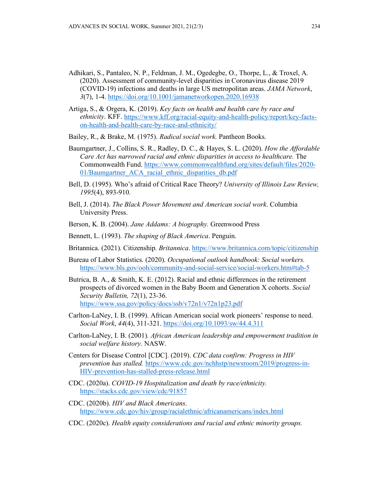- Adhikari, S., Pantaleo, N. P., Feldman, J. M., Ogedegbe, O., Thorpe, L., & Troxel, A. (2020). Assessment of community-level disparities in Coronavirus disease 2019 (COVID-19) infections and deaths in large US metropolitan areas. *JAMA Network*, *3*(7), 1-4.<https://doi.org/10.1001/jamanetworkopen.2020.16938>
- Artiga, S., & Orgera, K. (2019). *Key facts on health and health care by race and ethnicity*. KFF. [https://www.kff.org/racial-equity-and-health-policy/report/key-facts](https://www.kff.org/racial-equity-and-health-policy/report/key-facts-on-health-and-health-care-by-race-and-ethnicity/)[on-health-and-health-care-by-race-and-ethnicity/](https://www.kff.org/racial-equity-and-health-policy/report/key-facts-on-health-and-health-care-by-race-and-ethnicity/)

Bailey, R., & Brake, M. (1975). *Radical social work.* Pantheon Books.

- Baumgartner, J., Collins, S. R., Radley, D. C., & Hayes, S. L. (2020). *How the Affordable Care Act has narrowed racial and ethnic disparities in access to healthcare.* The Commonwealth Fund. [https://www.commonwealthfund.org/sites/default/files/2020-](https://www.commonwealthfund.org/sites/default/files/2020-01/Baumgartner_ACA_racial_ethnic_disparities_db.pdf) [01/Baumgartner\\_ACA\\_racial\\_ethnic\\_disparities\\_db.pdf](https://www.commonwealthfund.org/sites/default/files/2020-01/Baumgartner_ACA_racial_ethnic_disparities_db.pdf)
- Bell, D. (1995). Who's afraid of Critical Race Theory? *University of Illinois Law Review, 1995*(4), 893-910.
- Bell, J. (2014). *The Black Power Movement and American social work*. Columbia University Press.
- Berson, K. B. (2004). *Jane Addams: A biography.* Greenwood Press
- Bennett, L. (1993). *The shaping of Black America*. Penguin.
- Britannica. (2021). Citizenship. *Britannica*.<https://www.britannica.com/topic/citizenship>
- Bureau of Labor Statistics. (2020). *Occupational outlook handbook: Social workers.*  <https://www.bls.gov/ooh/community-and-social-service/social-workers.htm#tab-5>
- Butrica, B. A., & Smith, K. E. (2012). Racial and ethnic differences in the retirement prospects of divorced women in the Baby Boom and Generation X cohorts. *Social Security Bulletin, 72*(1), 23-36. <https://www.ssa.gov/policy/docs/ssb/v72n1/v72n1p23.pdf>
- Carlton-LaNey, I. B. (1999). African American social work pioneers' response to need. *Social Work*, *44*(4), 311-321.<https://doi.org/10.1093/sw/44.4.311>
- Carlton-LaNey, I. B. (2001)*. African American leadership and empowerment tradition in social welfare history*. NASW.
- Centers for Disease Control [CDC]. (2019). *CDC data confirm: Progress in HIV prevention has stalled.* [https://www.cdc.gov/nchhstp/newsroom/2019/progress-in-](https://www.cdc.gov/nchhstp/newsroom/2019/progress-in-HIV-prevention-has-stalled-press-release.html)[HIV-prevention-has-stalled-press-release.html](https://www.cdc.gov/nchhstp/newsroom/2019/progress-in-HIV-prevention-has-stalled-press-release.html)
- CDC. (2020a). *COVID-19 Hospitalization and death by race/ethnicity.* <https://stacks.cdc.gov/view/cdc/91857>
- CDC. (2020b). *HIV and Black Americans*. <https://www.cdc.gov/hiv/group/racialethnic/africanamericans/index.html>
- CDC. (2020c). *Health equity considerations and racial and ethnic minority groups.*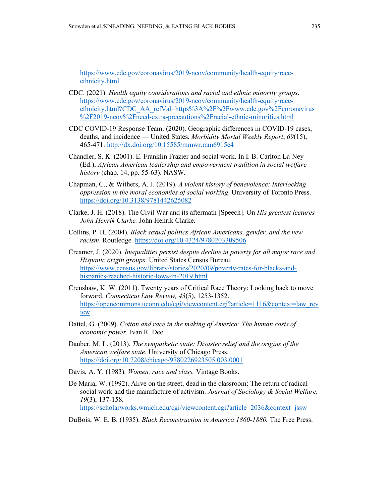[https://www.cdc.gov/coronavirus/2019-ncov/community/health-equity/race](https://www.cdc.gov/coronavirus/2019-ncov/community/health-equity/race-ethnicity.html)[ethnicity.html](https://www.cdc.gov/coronavirus/2019-ncov/community/health-equity/race-ethnicity.html)

- CDC. (2021). *Health equity considerations and racial and ethnic minority groups*. [https://www.cdc.gov/coronavirus/2019-ncov/community/health-equity/race](https://www.cdc.gov/coronavirus/2019-ncov/community/health-equity/race-ethnicity.html?CDC_AA_refVal=https%3A%2F%2Fwww.cdc.gov%2Fcoronavirus%2F2019-ncov%2Fneed-extra-precautions%2Fracial-ethnic-minorities.html)[ethnicity.html?CDC\\_AA\\_refVal=https%3A%2F%2Fwww.cdc.gov%2Fcoronavirus](https://www.cdc.gov/coronavirus/2019-ncov/community/health-equity/race-ethnicity.html?CDC_AA_refVal=https%3A%2F%2Fwww.cdc.gov%2Fcoronavirus%2F2019-ncov%2Fneed-extra-precautions%2Fracial-ethnic-minorities.html) [%2F2019-ncov%2Fneed-extra-precautions%2Fracial-ethnic-minorities.html](https://www.cdc.gov/coronavirus/2019-ncov/community/health-equity/race-ethnicity.html?CDC_AA_refVal=https%3A%2F%2Fwww.cdc.gov%2Fcoronavirus%2F2019-ncov%2Fneed-extra-precautions%2Fracial-ethnic-minorities.html)
- CDC COVID-19 Response Team. (2020). Geographic differences in COVID-19 cases, deaths, and incidence — United States*. Morbidity Mortal Weekly Report*, *69*(15), 465-471. <http://dx.doi.org/10.15585/mmwr.mm6915e4>
- Chandler, S. K. (2001). E. Franklin Frazier and social work. In I. B. Carlton La-Ney (Ed.), *African American leadership and empowerment tradition in social welfare history* (chap. 14, pp. 55-63). NASW.
- Chapman, C., & Withers, A. J. (2019). *A violent history of benevolence: Interlocking oppression in the moral economies of social working*. University of Toronto Press. <https://doi.org/10.3138/9781442625082>
- Clarke, J. H. (2018). The Civil War and its aftermath [Speech]. On *His greatest lectures – John Henrik Clarke.* John Henrik Clarke.
- Collins, P. H. (2004). *Black sexual politics African Americans, gender, and the new racism*. Routledge.<https://doi.org/10.4324/9780203309506>
- Creamer, J. (2020). *Inequalities persist despite decline in poverty for all major race and Hispanic origin groups*. United States Census Bureau. [https://www.census.gov/library/stories/2020/09/poverty-rates-for-blacks-and](https://www.census.gov/library/stories/2020/09/poverty-rates-for-blacks-and-hispanics-reached-historic-lows-in-2019.html)[hispanics-reached-historic-lows-in-2019.html](https://www.census.gov/library/stories/2020/09/poverty-rates-for-blacks-and-hispanics-reached-historic-lows-in-2019.html)
- Crenshaw, K. W. (2011). Twenty years of Critical Race Theory: Looking back to move forward. *Connecticut Law Review, 43*(5), 1253-1352. [https://opencommons.uconn.edu/cgi/viewcontent.cgi?article=1116&context=law\\_rev](https://opencommons.uconn.edu/cgi/viewcontent.cgi?article=1116&context=law_review) [iew](https://opencommons.uconn.edu/cgi/viewcontent.cgi?article=1116&context=law_review)
- Dattel, G. (2009). *Cotton and race in the making of America: The human costs of economic power.* Ivan R. Dee.
- Dauber, M. L. (2013). *The sympathetic state: Disaster relief and the origins of the American welfare state*. University of Chicago Press. <https://doi.org/10.7208/chicago/9780226923505.003.0001>
- Davis, A. Y. (1983). *Women, race and class.* Vintage Books.
- De Maria, W. (1992). Alive on the street, dead in the classroom: The return of radical social work and the manufacture of activism. *Journal of Sociology & Social Welfare, 19*(3), 137-158. <https://scholarworks.wmich.edu/cgi/viewcontent.cgi?article=2036&context=jssw>
- DuBois, W. E. B. (1935). *Black Reconstruction in America 1860-1880.* The Free Press.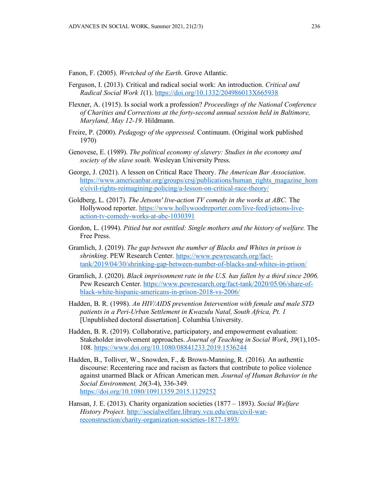Fanon, F. (2005). *Wretched of the Earth*. Grove Atlantic.

- Ferguson, I. (2013). Critical and radical social work: An introduction. *Critical and Radical Social Work 1*(1)[. https://doi.org/10.1332/204986013X665938](https://doi.org/10.1332/204986013X665938)
- Flexner, A. (1915). Is social work a profession? *Proceedings of the National Conference of Charities and Corrections at the forty-second annual session held in Baltimore, Maryland, May 12-19.* Hildmann.
- Freire, P. (2000). *Pedagogy of the oppressed*. Continuum. (Original work published 1970)
- Genovese, E. (1989). *The political economy of slavery: Studies in the economy and society of the slave south.* Wesleyan University Press.
- George, J. (2021). A lesson on Critical Race Theory. *The American Bar Association*. [https://www.americanbar.org/groups/crsj/publications/human\\_rights\\_magazine\\_hom](https://www.americanbar.org/groups/crsj/publications/human_rights_magazine_home/civil-rights-reimagining-policing/a-lesson-on-critical-race-theory/) [e/civil-rights-reimagining-policing/a-lesson-on-critical-race-theory/](https://www.americanbar.org/groups/crsj/publications/human_rights_magazine_home/civil-rights-reimagining-policing/a-lesson-on-critical-race-theory/)
- Goldberg, L. (2017). *The Jetsons' live-action TV comedy in the works at ABC.* The Hollywood reporter. [https://www.hollywoodreporter.com/live-feed/jetsons-live](https://www.hollywoodreporter.com/live-feed/jetsons-live-action-tv-comedy-works-at-abc-1030391)[action-tv-comedy-works-at-abc-1030391](https://www.hollywoodreporter.com/live-feed/jetsons-live-action-tv-comedy-works-at-abc-1030391)
- Gordon, L. (1994). *Pitied but not entitled: Single mothers and the history of welfare.* The Free Press.
- Gramlich, J. (2019). *The gap between the number of Blacks and Whites in prison is shrinking*. PEW Research Center. [https://www.pewresearch.org/fact](https://www.pewresearch.org/fact-tank/2019/04/30/shrinking-gap-between-number-of-blacks-and-whites-in-prison/)[tank/2019/04/30/shrinking-gap-between-number-of-blacks-and-whites-in-prison/](https://www.pewresearch.org/fact-tank/2019/04/30/shrinking-gap-between-number-of-blacks-and-whites-in-prison/)
- Gramlich, J. (2020). *Black imprisonment rate in the U.S. has fallen by a third since 2006.*  Pew Research Center. [https://www.pewresearch.org/fact-tank/2020/05/06/share-of](https://www.pewresearch.org/fact-tank/2020/05/06/share-of-black-white-hispanic-americans-in-prison-2018-vs-2006/)[black-white-hispanic-americans-in-prison-2018-vs-2006/](https://www.pewresearch.org/fact-tank/2020/05/06/share-of-black-white-hispanic-americans-in-prison-2018-vs-2006/)
- Hadden, B. R. (1998). *An HIV/AIDS prevention Intervention with female and male STD patients in a Peri-Urban Settlement in Kwazulu Natal, South Africa, Pt. 1*  [Unpublished doctoral dissertation]. Columbia University.
- Hadden, B. R. (2019). Collaborative, participatory, and empowerment evaluation: Stakeholder involvement approaches. *Journal of Teaching in Social Work*, *39*(1),105- 108.<https://www.doi.org/10.1080/08841233.2019.1536244>
- Hadden, B., Tolliver, W., Snowden, F., & Brown-Manning, R. (2016). An authentic discourse: Recentering race and racism as factors that contribute to police violence against unarmed Black or African American men. *Journal of Human Behavior in the Social Environment, 26*(3-4), 336-349. <https://doi.org/10.1080/10911359.2015.1129252>
- Hansan, J. E. (2013). Charity organization societies (1877 1893). *Social Welfare History Project.* [http://socialwelfare.library.vcu.edu/eras/civil-war](http://socialwelfare.library.vcu.edu/eras/civil-war-reconstruction/charity-organization-societies-1877-1893/)[reconstruction/charity-organization-societies-1877-1893/](http://socialwelfare.library.vcu.edu/eras/civil-war-reconstruction/charity-organization-societies-1877-1893/)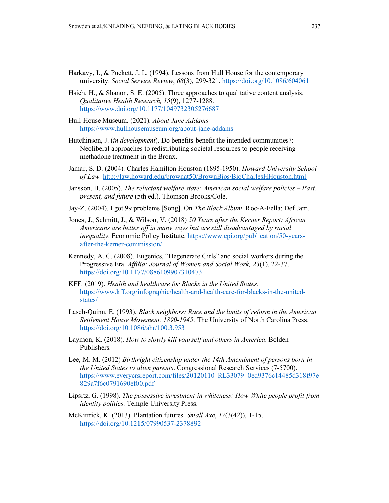- Harkavy, I., & Puckett, J. L. (1994). Lessons from Hull House for the contemporary university. *Social Service Review*, *68*(3), 299-321.<https://doi.org/10.1086/604061>
- Hsieh, H., & Shanon, S. E. (2005). Three approaches to qualitative content analysis. *Qualitative Health Research, 15*(9), 1277-1288. <https://www.doi.org/10.1177/1049732305276687>
- Hull House Museum. (2021). *About Jane Addams.*  <https://www.hullhousemuseum.org/about-jane-addams>
- Hutchinson, J. (*in development*). Do benefits benefit the intended communities?: Neoliberal approaches to redistributing societal resources to people receiving methadone treatment in the Bronx.
- Jamar, S. D. (2004). Charles Hamilton Houston (1895-1950). *Howard University School of Law.* <http://law.howard.edu/brownat50/BrownBios/BioCharlesHHouston.html>
- Jansson, B. (2005). *The reluctant welfare state: American social welfare policies – Past, present, and future* (5th ed.). Thomson Brooks/Cole.
- Jay-Z. (2004). I got 99 problems [Song]. On *The Black Album*. Roc-A-Fella; Def Jam.
- Jones, J., Schmitt, J., & Wilson, V. (2018) *50 Years after the Kerner Report: African Americans are better off in many ways but are still disadvantaged by racial inequality*. Economic Policy Institute. [https://www.epi.org/publication/50-years](https://www.epi.org/publication/50-years-after-the-kerner-commission/)[after-the-kerner-commission/](https://www.epi.org/publication/50-years-after-the-kerner-commission/)
- Kennedy, A. C. (2008). Eugenics, "Degenerate Girls" and social workers during the Progressive Era. *Affilia: Journal of Women and Social Work, 23*(1), 22-37. <https://doi.org/10.1177/0886109907310473>
- KFF. (2019). *Health and healthcare for Blacks in the United States*. [https://www.kff.org/infographic/health-and-health-care-for-blacks-in-the-united](https://www.kff.org/infographic/health-and-health-care-for-blacks-in-the-united-states/)[states/](https://www.kff.org/infographic/health-and-health-care-for-blacks-in-the-united-states/)
- Lasch-Quinn, E. (1993). *Black neighbors: Race and the limits of reform in the American Settlement House Movement, 1890-1945*. The University of North Carolina Press. <https://doi.org/10.1086/ahr/100.3.953>
- Laymon, K. (2018). *How to slowly kill yourself and others in America*. Bolden Publishers.
- Lee, M. M. (2012) *Birthright citizenship under the 14th Amendment of persons born in the United States to alien parents*. Congressional Research Services (7-5700). [https://www.everycrsreport.com/files/20120110\\_RL33079\\_0ed9376c14485d318f97e](https://www.everycrsreport.com/files/20120110_RL33079_0ed9376c14485d318f97e829a7f6c0791690ef00.pdf) [829a7f6c0791690ef00.pdf](https://www.everycrsreport.com/files/20120110_RL33079_0ed9376c14485d318f97e829a7f6c0791690ef00.pdf)
- Lipsitz, G. (1998). *The possessive investment in whiteness: How White people profit from identity politics*. Temple University Press.
- McKittrick, K. (2013). Plantation futures. *Small Axe*, *17*(3(42)), 1-15. <https://doi.org/10.1215/07990537-2378892>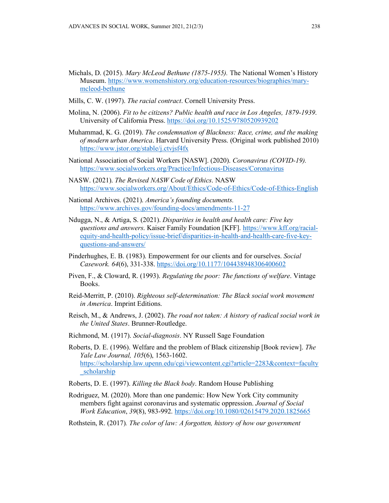- Michals, D. (2015). *Mary McLeod Bethune (1875-1955).* The National Women's History Museum. [https://www.womenshistory.org/education-resources/biographies/mary](https://www.womenshistory.org/education-resources/biographies/mary-mcleod-bethune)[mcleod-bethune](https://www.womenshistory.org/education-resources/biographies/mary-mcleod-bethune)
- Mills, C. W. (1997). *The racial contract*. Cornell University Press.
- Molina, N. (2006). *Fit to be citizens? Public health and race in Los Angeles, 1879-1939*. University of California Press. <https://doi.org/10.1525/9780520939202>
- Muhammad, K. G. (2019). *The condemnation of Blackness: Race, crime, and the making of modern urban America*. Harvard University Press. (Original work published 2010) <https://www.jstor.org/stable/j.ctvjsf4fx>
- National Association of Social Workers [NASW]. (2020). *Coronavirus (COVID-19).* <https://www.socialworkers.org/Practice/Infectious-Diseases/Coronavirus>
- NASW. (2021). *The Revised NASW Code of Ethics*. NASW <https://www.socialworkers.org/About/Ethics/Code-of-Ethics/Code-of-Ethics-English>
- National Archives. (2021). *America's founding documents.* <https://www.archives.gov/founding-docs/amendments-11-27>
- Ndugga, N., & Artiga, S. (2021). *Disparities in health and health care: Five key questions and answers*. Kaiser Family Foundation [KFF]. [https://www.kff.org/racial](https://www.kff.org/racial-equity-and-health-policy/issue-brief/disparities-in-health-and-health-care-five-key-questions-and-answers/)[equity-and-health-policy/issue-brief/disparities-in-health-and-health-care-five-key](https://www.kff.org/racial-equity-and-health-policy/issue-brief/disparities-in-health-and-health-care-five-key-questions-and-answers/)[questions-and-answers/](https://www.kff.org/racial-equity-and-health-policy/issue-brief/disparities-in-health-and-health-care-five-key-questions-and-answers/)
- Pinderhughes, E. B. (1983). Empowerment for our clients and for ourselves. *Social Casework. 64*(6), 331-338. <https://doi.org/10.1177/104438948306400602>
- Piven, F., & Cloward, R. (1993). *Regulating the poor: The functions of welfare*. Vintage Books.
- Reid-Merritt, P. (2010). *Righteous self-determination: The Black social work movement in America*. Imprint Editions.
- Reisch, M., & Andrews, J. (2002). *The road not taken: A history of radical social work in the United States*. Brunner-Routledge.
- Richmond, M. (1917). *Social-diagnosis*. NY Russell Sage Foundation

Roberts, D. E. (1996). Welfare and the problem of Black citizenship [Book review]. *The Yale Law Journal, 105*(6), 1563-1602. [https://scholarship.law.upenn.edu/cgi/viewcontent.cgi?article=2283&context=faculty](https://scholarship.law.upenn.edu/cgi/viewcontent.cgi?article=2283&context=faculty_scholarship) [\\_scholarship](https://scholarship.law.upenn.edu/cgi/viewcontent.cgi?article=2283&context=faculty_scholarship)

- Roberts, D. E. (1997). *Killing the Black body*. Random House Publishing
- Rodriguez, M. (2020). More than one pandemic: How New York City community members fight against coronavirus and systematic oppression. *Journal of Social Work Education*, *39*(8), 983-992. <https://doi.org/10.1080/02615479.2020.1825665>
- Rothstein, R. (2017)*. The color of law: A forgotten, history of how our government*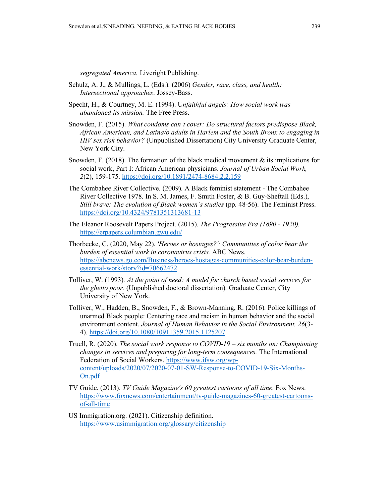*segregated America.* Liveright Publishing.

- Schulz, A. J., & Mullings, L. (Eds.). (2006) *Gender, race, class, and health: Intersectional approaches*. Jossey-Bass.
- Specht, H., & Courtney, M. E. (1994). U*nfaithful angels: How social work was abandoned its mission.* The Free Press.
- Snowden, F. (2015). *What condoms can't cover: Do structural factors predispose Black, African American, and Latina/o adults in Harlem and the South Bronx to engaging in HIV sex risk behavior?* (Unpublished Dissertation) City University Graduate Center, New York City.
- Snowden, F. (2018). The formation of the black medical movement  $\&$  its implications for social work, Part I: African American physicians. *Journal of Urban Social Work, 2*(2), 159-175. <https://doi.org/10.1891/2474-8684.2.2.159>
- The Combahee River Collective. (2009). A Black feminist statement The Combahee River Collective 1978. In S. M. James, F. Smith Foster, & B. Guy-Sheftall (Eds.), *Still brave: The evolution of Black women's studies* (pp. 48-56). The Feminist Press. <https://doi.org/10.4324/9781351313681-13>
- The Eleanor Roosevelt Papers Project. (2015). *The Progressive Era (1890 - 1920).* <https://erpapers.columbian.gwu.edu/>
- Thorbecke, C. (2020, May 22). *'Heroes or hostages?': Communities of color bear the burden of essential work in coronavirus crisis.* ABC News. [https://abcnews.go.com/Business/heroes-hostages-communities-color-bear-burden](https://abcnews.go.com/Business/heroes-hostages-communities-color-bear-burden-essential-work/story?id=70662472)[essential-work/story?id=70662472](https://abcnews.go.com/Business/heroes-hostages-communities-color-bear-burden-essential-work/story?id=70662472)
- Tolliver, W. (1993). *At the point of need: A model for church based social services for the ghetto poor.* (Unpublished doctoral dissertation). Graduate Center, City University of New York.
- Tolliver, W., Hadden, B., Snowden, F., & Brown-Manning, R. (2016). Police killings of unarmed Black people: Centering race and racism in human behavior and the social environment content. *Journal of Human Behavior in the Social Environment, 26*(3- 4).<https://doi.org/10.1080/10911359.2015.1125207>
- Truell, R. (2020). *The social work response to COVID-19 – six months on: Championing changes in services and preparing for long-term consequences.* The International Federation of Social Workers. [https://www.ifsw.org/wp](https://www.ifsw.org/wp-content/uploads/2020/07/2020-07-01-SW-Response-to-COVID-19-Six-Months-On.pdf)[content/uploads/2020/07/2020-07-01-SW-Response-to-COVID-19-Six-Months-](https://www.ifsw.org/wp-content/uploads/2020/07/2020-07-01-SW-Response-to-COVID-19-Six-Months-On.pdf)[On.pdf](https://www.ifsw.org/wp-content/uploads/2020/07/2020-07-01-SW-Response-to-COVID-19-Six-Months-On.pdf)
- TV Guide. (2013). *TV Guide Magazine's 60 greatest cartoons of all time*. Fox News. [https://www.foxnews.com/entertainment/tv-guide-magazines-60-greatest-cartoons](https://www.foxnews.com/entertainment/tv-guide-magazines-60-greatest-cartoons-of-all-time)[of-all-time](https://www.foxnews.com/entertainment/tv-guide-magazines-60-greatest-cartoons-of-all-time)
- US Immigration.org. (2021). Citizenship definition. <https://www.usimmigration.org/glossary/citizenship>